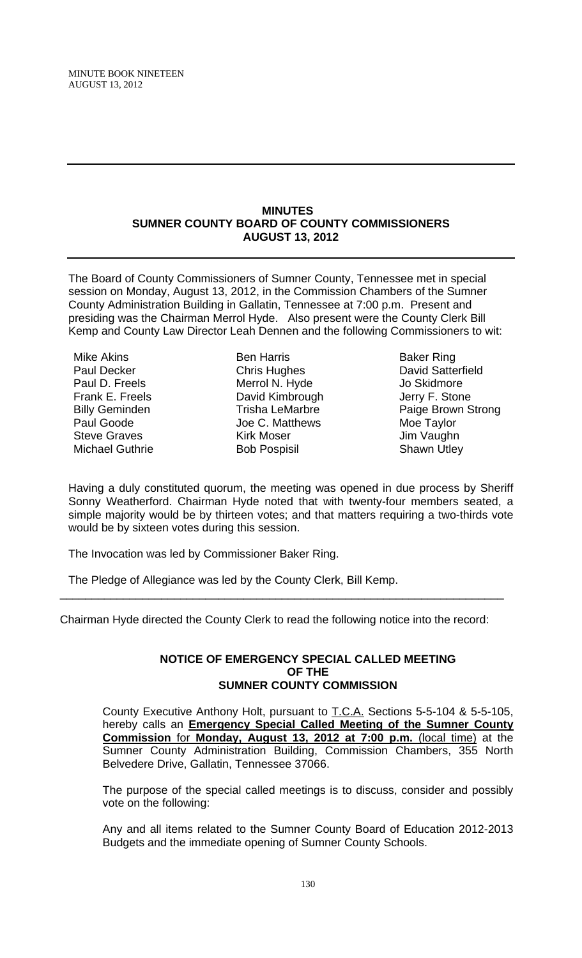#### **MINUTES SUMNER COUNTY BOARD OF COUNTY COMMISSIONERS AUGUST 13, 2012**

The Board of County Commissioners of Sumner County, Tennessee met in special session on Monday, August 13, 2012, in the Commission Chambers of the Sumner County Administration Building in Gallatin, Tennessee at 7:00 p.m. Present and presiding was the Chairman Merrol Hyde. Also present were the County Clerk Bill Kemp and County Law Director Leah Dennen and the following Commissioners to wit:

Mike Akins Paul Decker Paul D. Freels Frank E. Freels Billy Geminden Paul Goode Steve Graves Michael Guthrie

Ben Harris Chris Hughes Merrol N. Hyde David Kimbrough Trisha LeMarbre Joe C. Matthews Kirk Moser Bob Pospisil

Baker Ring David Satterfield Jo Skidmore Jerry F. Stone Paige Brown Strong Moe Taylor Jim Vaughn Shawn Utley

Having a duly constituted quorum, the meeting was opened in due process by Sheriff Sonny Weatherford. Chairman Hyde noted that with twenty-four members seated, a simple majority would be by thirteen votes; and that matters requiring a two-thirds vote would be by sixteen votes during this session.

The Invocation was led by Commissioner Baker Ring.

The Pledge of Allegiance was led by the County Clerk, Bill Kemp.

Chairman Hyde directed the County Clerk to read the following notice into the record:

\_\_\_\_\_\_\_\_\_\_\_\_\_\_\_\_\_\_\_\_\_\_\_\_\_\_\_\_\_\_\_\_\_\_\_\_\_\_\_\_\_\_\_\_\_\_\_\_\_\_\_\_\_\_\_\_\_\_\_\_\_\_\_\_\_\_\_\_\_\_

## **NOTICE OF EMERGENCY SPECIAL CALLED MEETING OF THE SUMNER COUNTY COMMISSION**

County Executive Anthony Holt, pursuant to T.C.A. Sections 5-5-104 & 5-5-105, hereby calls an **Emergency Special Called Meeting of the Sumner County Commission** for **Monday, August 13, 2012 at 7:00 p.m.** (local time) at the Sumner County Administration Building, Commission Chambers, 355 North Belvedere Drive, Gallatin, Tennessee 37066.

The purpose of the special called meetings is to discuss, consider and possibly vote on the following:

Any and all items related to the Sumner County Board of Education 2012-2013 Budgets and the immediate opening of Sumner County Schools.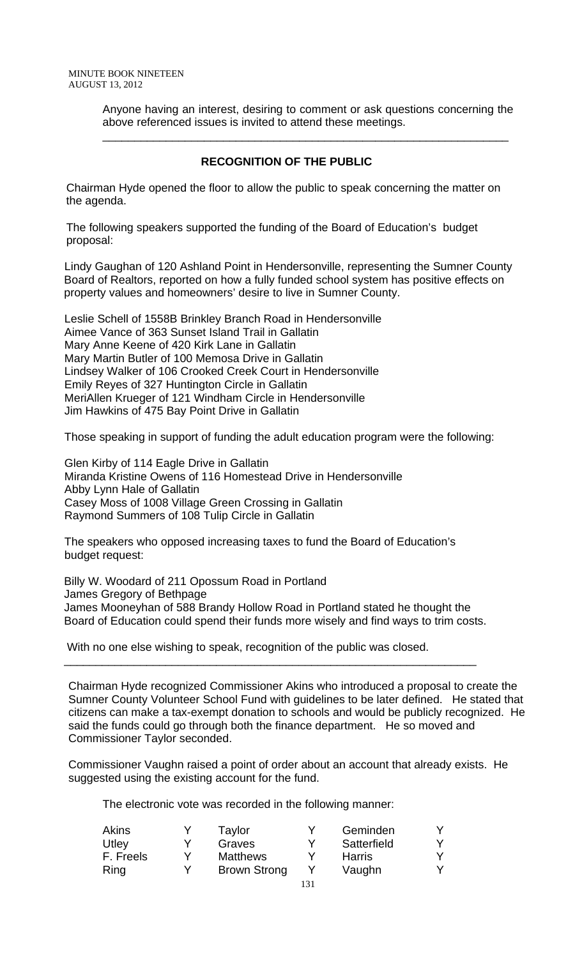Anyone having an interest, desiring to comment or ask questions concerning the above referenced issues is invited to attend these meetings.

# **RECOGNITION OF THE PUBLIC**

\_\_\_\_\_\_\_\_\_\_\_\_\_\_\_\_\_\_\_\_\_\_\_\_\_\_\_\_\_\_\_\_\_\_\_\_\_\_\_\_\_\_\_\_\_\_\_\_\_\_\_\_\_\_\_\_\_\_\_\_\_\_\_\_

 Chairman Hyde opened the floor to allow the public to speak concerning the matter on the agenda.

 The following speakers supported the funding of the Board of Education's budget proposal:

Lindy Gaughan of 120 Ashland Point in Hendersonville, representing the Sumner County Board of Realtors, reported on how a fully funded school system has positive effects on property values and homeowners' desire to live in Sumner County.

Leslie Schell of 1558B Brinkley Branch Road in Hendersonville Aimee Vance of 363 Sunset Island Trail in Gallatin Mary Anne Keene of 420 Kirk Lane in Gallatin Mary Martin Butler of 100 Memosa Drive in Gallatin Lindsey Walker of 106 Crooked Creek Court in Hendersonville Emily Reyes of 327 Huntington Circle in Gallatin MeriAllen Krueger of 121 Windham Circle in Hendersonville Jim Hawkins of 475 Bay Point Drive in Gallatin

Those speaking in support of funding the adult education program were the following:

Glen Kirby of 114 Eagle Drive in Gallatin Miranda Kristine Owens of 116 Homestead Drive in Hendersonville Abby Lynn Hale of Gallatin Casey Moss of 1008 Village Green Crossing in Gallatin Raymond Summers of 108 Tulip Circle in Gallatin

The speakers who opposed increasing taxes to fund the Board of Education's budget request:

Billy W. Woodard of 211 Opossum Road in Portland James Gregory of Bethpage James Mooneyhan of 588 Brandy Hollow Road in Portland stated he thought the Board of Education could spend their funds more wisely and find ways to trim costs.

\_\_\_\_\_\_\_\_\_\_\_\_\_\_\_\_\_\_\_\_\_\_\_\_\_\_\_\_\_\_\_\_\_\_\_\_\_\_\_\_\_\_\_\_\_\_\_\_\_\_\_\_\_\_\_\_\_\_\_\_\_\_\_\_\_

With no one else wishing to speak, recognition of the public was closed.

Chairman Hyde recognized Commissioner Akins who introduced a proposal to create the Sumner County Volunteer School Fund with guidelines to be later defined. He stated that citizens can make a tax-exempt donation to schools and would be publicly recognized. He said the funds could go through both the finance department. He so moved and Commissioner Taylor seconded.

Commissioner Vaughn raised a point of order about an account that already exists. He suggested using the existing account for the fund.

| <b>Akins</b> |   | Taylor              | Geminden      |  |
|--------------|---|---------------------|---------------|--|
| Utley        |   | Graves              | Satterfield   |  |
| F. Freels    |   | <b>Matthews</b>     | <b>Harris</b> |  |
| Ring         | v | <b>Brown Strong</b> | Vaughn        |  |
|              |   |                     |               |  |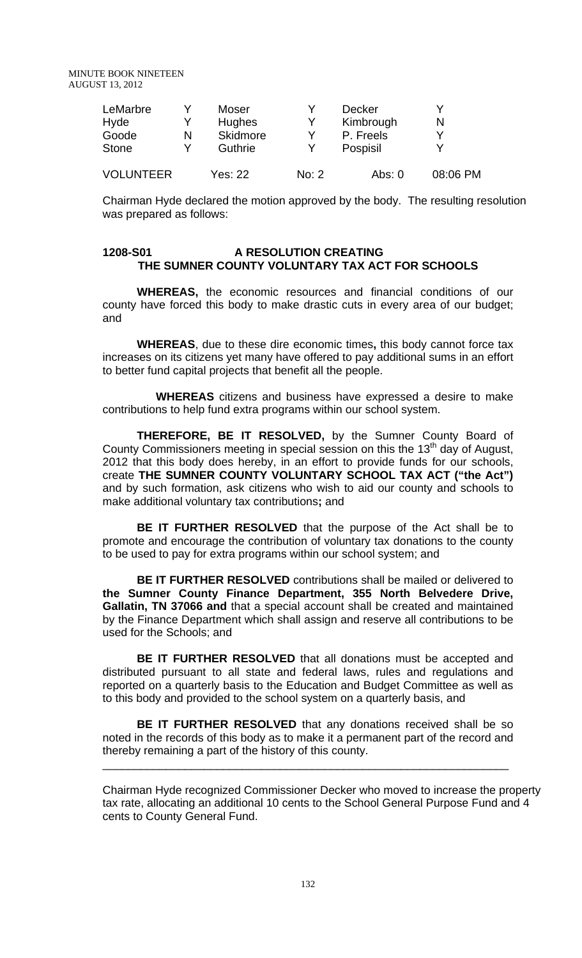| LeMarbre         |   | Moser          |       | <b>Decker</b> |          |
|------------------|---|----------------|-------|---------------|----------|
| Hyde             |   | <b>Hughes</b>  |       | Kimbrough     | N        |
| Goode            | N | Skidmore       |       | P. Freels     | v        |
| <b>Stone</b>     |   | Guthrie        |       | Pospisil      |          |
| <b>VOLUNTEER</b> |   | <b>Yes: 22</b> | No: 2 | Abs: $0$      | 08:06 PM |

Chairman Hyde declared the motion approved by the body. The resulting resolution was prepared as follows:

### **1208-S01 A RESOLUTION CREATING THE SUMNER COUNTY VOLUNTARY TAX ACT FOR SCHOOLS**

**WHEREAS,** the economic resources and financial conditions of our county have forced this body to make drastic cuts in every area of our budget; and

**WHEREAS**, due to these dire economic times**,** this body cannot force tax increases on its citizens yet many have offered to pay additional sums in an effort to better fund capital projects that benefit all the people.

 **WHEREAS** citizens and business have expressed a desire to make contributions to help fund extra programs within our school system.

**THEREFORE, BE IT RESOLVED,** by the Sumner County Board of County Commissioners meeting in special session on this the 13<sup>th</sup> day of August, 2012 that this body does hereby, in an effort to provide funds for our schools, create **THE SUMNER COUNTY VOLUNTARY SCHOOL TAX ACT ("the Act")**  and by such formation, ask citizens who wish to aid our county and schools to make additional voluntary tax contributions**;** and

**BE IT FURTHER RESOLVED** that the purpose of the Act shall be to promote and encourage the contribution of voluntary tax donations to the county to be used to pay for extra programs within our school system; and

**BE IT FURTHER RESOLVED** contributions shall be mailed or delivered to **the Sumner County Finance Department, 355 North Belvedere Drive, Gallatin, TN 37066 and** that a special account shall be created and maintained by the Finance Department which shall assign and reserve all contributions to be used for the Schools; and

**BE IT FURTHER RESOLVED** that all donations must be accepted and distributed pursuant to all state and federal laws, rules and regulations and reported on a quarterly basis to the Education and Budget Committee as well as to this body and provided to the school system on a quarterly basis, and

**BE IT FURTHER RESOLVED** that any donations received shall be so noted in the records of this body as to make it a permanent part of the record and thereby remaining a part of the history of this county.

\_\_\_\_\_\_\_\_\_\_\_\_\_\_\_\_\_\_\_\_\_\_\_\_\_\_\_\_\_\_\_\_\_\_\_\_\_\_\_\_\_\_\_\_\_\_\_\_\_\_\_\_\_\_\_\_\_\_\_\_\_\_\_\_

Chairman Hyde recognized Commissioner Decker who moved to increase the property tax rate, allocating an additional 10 cents to the School General Purpose Fund and 4 cents to County General Fund.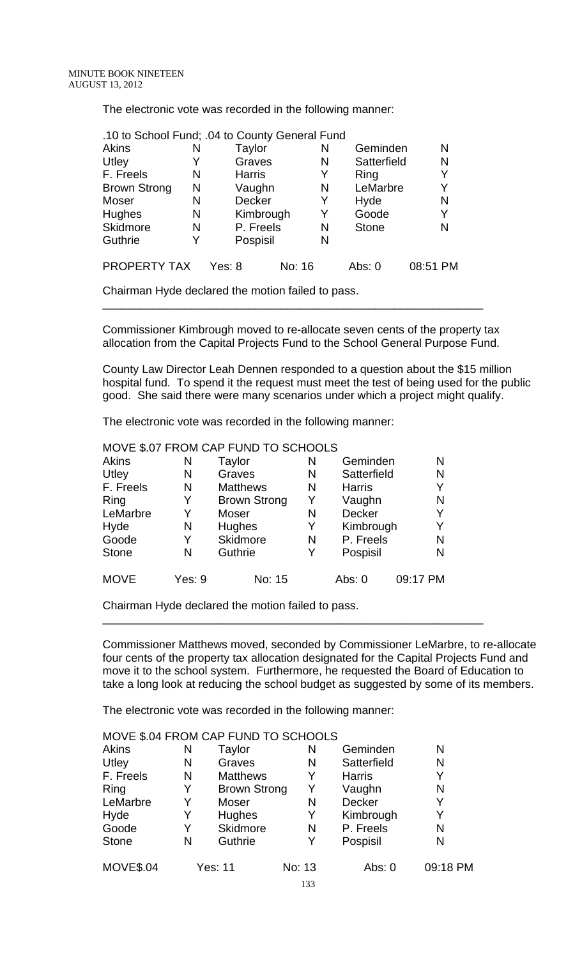The electronic vote was recorded in the following manner:

|                     |   | .10 to School Fund; .04 to County General Fund |        |              |          |
|---------------------|---|------------------------------------------------|--------|--------------|----------|
| Akins               | N | Taylor                                         | N      | Geminden     | N        |
| Utley               |   | Graves                                         | N      | Satterfield  | N        |
| F. Freels           | N | <b>Harris</b>                                  | Y      | Ring         | Y        |
| <b>Brown Strong</b> | N | Vaughn                                         | N      | LeMarbre     | Y        |
| Moser               | N | <b>Decker</b>                                  | Y      | Hyde         | N        |
| <b>Hughes</b>       | N | Kimbrough                                      | Y      | Goode        | Y        |
| <b>Skidmore</b>     | N | P. Freels                                      | N      | <b>Stone</b> | N        |
| Guthrie             |   | Pospisil                                       | N      |              |          |
| PROPERTY TAX        |   | Yes: 8                                         | No: 16 | Abs: $0$     | 08:51 PM |

Chairman Hyde declared the motion failed to pass.

Commissioner Kimbrough moved to re-allocate seven cents of the property tax allocation from the Capital Projects Fund to the School General Purpose Fund.

\_\_\_\_\_\_\_\_\_\_\_\_\_\_\_\_\_\_\_\_\_\_\_\_\_\_\_\_\_\_\_\_\_\_\_\_\_\_\_\_\_\_\_\_\_\_\_\_\_\_\_\_\_\_\_\_\_\_\_\_

County Law Director Leah Dennen responded to a question about the \$15 million hospital fund. To spend it the request must meet the test of being used for the public good. She said there were many scenarios under which a project might qualify.

The electronic vote was recorded in the following manner:

|              |        | MOVE \$.07 FROM CAP FUND TO SCHOOLS |   |               |          |
|--------------|--------|-------------------------------------|---|---------------|----------|
| <b>Akins</b> | N      | Taylor                              | N | Geminden      | N        |
| Utley        | N      | Graves                              | N | Satterfield   | N        |
| F. Freels    | N      | <b>Matthews</b>                     | N | <b>Harris</b> | Y        |
| Ring         | Y      | <b>Brown Strong</b>                 | Y | Vaughn        | N        |
| LeMarbre     | Y      | Moser                               | N | <b>Decker</b> | Y        |
| Hyde         | N      | Hughes                              | Y | Kimbrough     | Y        |
| Goode        | Y      | Skidmore                            | N | P. Freels     | N        |
| <b>Stone</b> | Ν      | Guthrie                             | Y | Pospisil      | N        |
| <b>MOVE</b>  | Yes: 9 | No: 15                              |   | Abs: 0        | 09:17 PM |

Chairman Hyde declared the motion failed to pass.

Commissioner Matthews moved, seconded by Commissioner LeMarbre, to re-allocate four cents of the property tax allocation designated for the Capital Projects Fund and move it to the school system. Furthermore, he requested the Board of Education to take a long look at reducing the school budget as suggested by some of its members.

\_\_\_\_\_\_\_\_\_\_\_\_\_\_\_\_\_\_\_\_\_\_\_\_\_\_\_\_\_\_\_\_\_\_\_\_\_\_\_\_\_\_\_\_\_\_\_\_\_\_\_\_\_\_\_\_\_\_\_\_

|                  |   | MOVE \$.04 FROM CAP FUND TO SCHOOLS |        |               |          |
|------------------|---|-------------------------------------|--------|---------------|----------|
| <b>Akins</b>     | N | Taylor                              | N      | Geminden      | N        |
| Utley            | N | Graves                              | N      | Satterfield   | N        |
| F. Freels        | N | <b>Matthews</b>                     | Y      | <b>Harris</b> | Y        |
| Ring             | Y | <b>Brown Strong</b>                 | Y      | Vaughn        | N        |
| LeMarbre         | Y | Moser                               | N      | <b>Decker</b> | Y        |
| Hyde             | Y | Hughes                              | Y      | Kimbrough     | Y        |
| Goode            | Y | <b>Skidmore</b>                     | N      | P. Freels     | N        |
| <b>Stone</b>     | N | Guthrie                             | Y      | Pospisil      | N        |
| <b>MOVE\$.04</b> |   | <b>Yes: 11</b>                      | No: 13 | Abs: 0        | 09:18 PM |
|                  |   |                                     | 133    |               |          |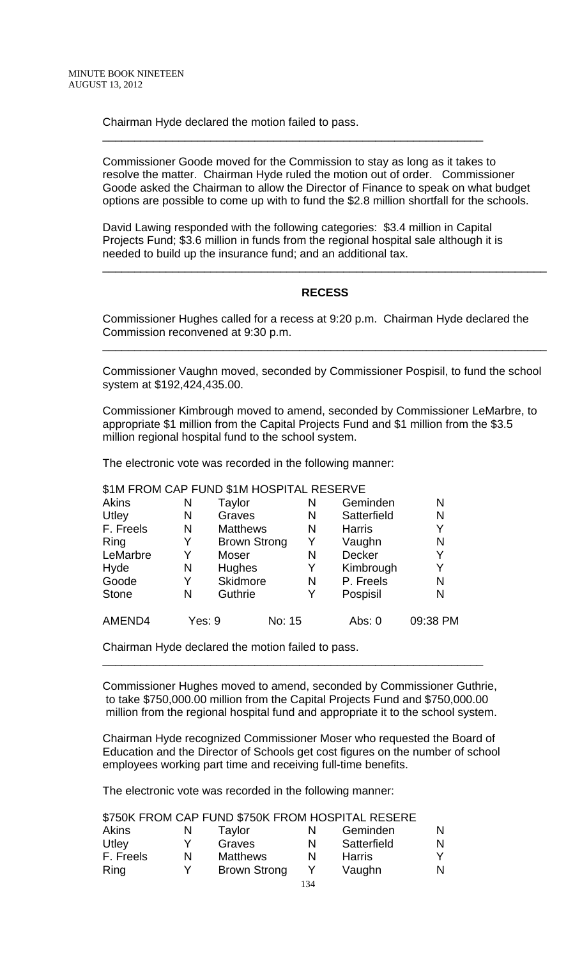Chairman Hyde declared the motion failed to pass.

Commissioner Goode moved for the Commission to stay as long as it takes to resolve the matter. Chairman Hyde ruled the motion out of order. Commissioner Goode asked the Chairman to allow the Director of Finance to speak on what budget options are possible to come up with to fund the \$2.8 million shortfall for the schools.

David Lawing responded with the following categories: \$3.4 million in Capital Projects Fund; \$3.6 million in funds from the regional hospital sale although it is needed to build up the insurance fund; and an additional tax.

\_\_\_\_\_\_\_\_\_\_\_\_\_\_\_\_\_\_\_\_\_\_\_\_\_\_\_\_\_\_\_\_\_\_\_\_\_\_\_\_\_\_\_\_\_\_\_\_\_\_\_\_\_\_\_\_\_\_\_\_

# **RECESS**

\_\_\_\_\_\_\_\_\_\_\_\_\_\_\_\_\_\_\_\_\_\_\_\_\_\_\_\_\_\_\_\_\_\_\_\_\_\_\_\_\_\_\_\_\_\_\_\_\_\_\_\_\_\_\_\_\_\_\_\_\_\_\_\_\_\_\_\_\_\_

Commissioner Hughes called for a recess at 9:20 p.m. Chairman Hyde declared the Commission reconvened at 9:30 p.m.

Commissioner Vaughn moved, seconded by Commissioner Pospisil, to fund the school system at \$192,424,435.00.

\_\_\_\_\_\_\_\_\_\_\_\_\_\_\_\_\_\_\_\_\_\_\_\_\_\_\_\_\_\_\_\_\_\_\_\_\_\_\_\_\_\_\_\_\_\_\_\_\_\_\_\_\_\_\_\_\_\_\_\_\_\_\_\_\_\_\_\_\_\_

Commissioner Kimbrough moved to amend, seconded by Commissioner LeMarbre, to appropriate \$1 million from the Capital Projects Fund and \$1 million from the \$3.5 million regional hospital fund to the school system.

The electronic vote was recorded in the following manner:

# \$1M FROM CAP FUND \$1M HOSPITAL RESERVE

| Akins        | N      | Taylor              |        | N | Geminden      | N        |
|--------------|--------|---------------------|--------|---|---------------|----------|
| Utley        | N      | Graves              |        | N | Satterfield   | N        |
| F. Freels    | N      | <b>Matthews</b>     |        | N | <b>Harris</b> | Y        |
| Ring         | Y      | <b>Brown Strong</b> |        | Y | Vaughn        | N        |
| LeMarbre     | Y      | Moser               |        | N | Decker        | Y        |
| Hyde         | N      | Hughes              |        | Y | Kimbrough     | Y        |
| Goode        | Y      | Skidmore            |        | N | P. Freels     | N        |
| <b>Stone</b> | N      | Guthrie             |        | Y | Pospisil      | N        |
| AMEND4       | Yes: 9 |                     | No: 15 |   | Abs: 0        | 09:38 PM |

Chairman Hyde declared the motion failed to pass.

Commissioner Hughes moved to amend, seconded by Commissioner Guthrie, to take \$750,000.00 million from the Capital Projects Fund and \$750,000.00 million from the regional hospital fund and appropriate it to the school system.

\_\_\_\_\_\_\_\_\_\_\_\_\_\_\_\_\_\_\_\_\_\_\_\_\_\_\_\_\_\_\_\_\_\_\_\_\_\_\_\_\_\_\_\_\_\_\_\_\_\_\_\_\_\_\_\_\_\_\_\_

Chairman Hyde recognized Commissioner Moser who requested the Board of Education and the Director of Schools get cost figures on the number of school employees working part time and receiving full-time benefits.

| Akins     | N | Taylor              | N | Geminden      | N |
|-----------|---|---------------------|---|---------------|---|
| Utley     |   | Graves              | N | Satterfield   | N |
| F. Freels | N | <b>Matthews</b>     | N | <b>Harris</b> |   |
| Ring      | v | <b>Brown Strong</b> |   | Vaughn        | N |
|           |   |                     |   |               |   |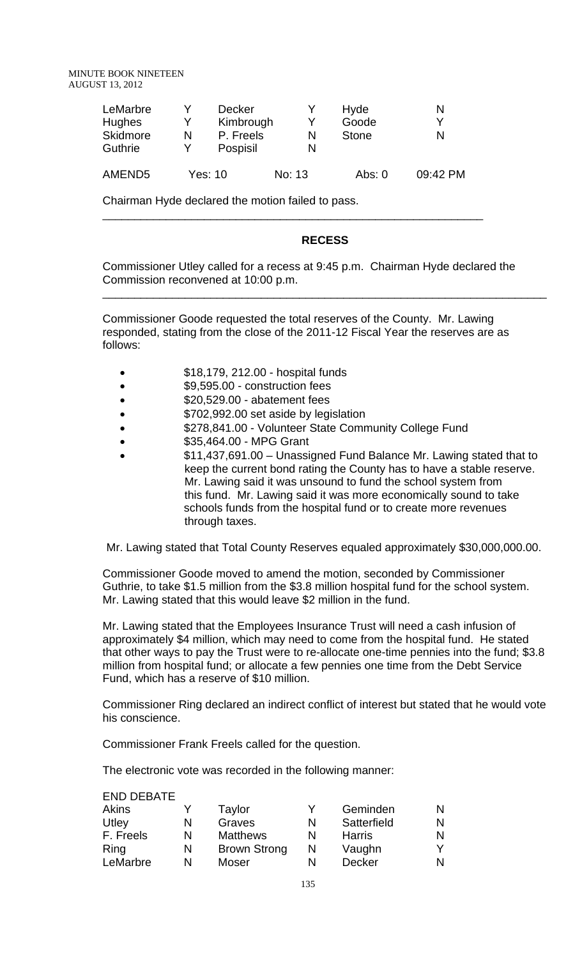MINUTE BOOK NINETEEN AUGUST 13, 2012

| LeMarbre<br><b>Hughes</b><br><b>Skidmore</b><br>Guthrie | N | <b>Decker</b><br>Kimbrough<br>P. Freels<br>Pospisil |        | Hyde<br>Goode<br><b>Stone</b> | N<br>N   |
|---------------------------------------------------------|---|-----------------------------------------------------|--------|-------------------------------|----------|
| AMEND5                                                  |   | Yes: 10                                             | No: 13 | Abs: $0$                      | 09:42 PM |

\_\_\_\_\_\_\_\_\_\_\_\_\_\_\_\_\_\_\_\_\_\_\_\_\_\_\_\_\_\_\_\_\_\_\_\_\_\_\_\_\_\_\_\_\_\_\_\_\_\_\_\_\_\_\_\_\_\_\_\_

Chairman Hyde declared the motion failed to pass.

#### **RECESS**

\_\_\_\_\_\_\_\_\_\_\_\_\_\_\_\_\_\_\_\_\_\_\_\_\_\_\_\_\_\_\_\_\_\_\_\_\_\_\_\_\_\_\_\_\_\_\_\_\_\_\_\_\_\_\_\_\_\_\_\_\_\_\_\_\_\_\_\_\_\_

Commissioner Utley called for a recess at 9:45 p.m. Chairman Hyde declared the Commission reconvened at 10:00 p.m.

Commissioner Goode requested the total reserves of the County. Mr. Lawing responded, stating from the close of the 2011-12 Fiscal Year the reserves are as follows:

- \$18,179, 212.00 hospital funds
- \$9,595.00 construction fees
- \$20,529.00 abatement fees
- \$702,992.00 set aside by legislation
- **\$278,841.00 Volunteer State Community College Fund**
- \$35,464.00 MPG Grant
- \$11,437,691.00 Unassigned Fund Balance Mr. Lawing stated that to keep the current bond rating the County has to have a stable reserve. Mr. Lawing said it was unsound to fund the school system from this fund. Mr. Lawing said it was more economically sound to take schools funds from the hospital fund or to create more revenues through taxes.

Mr. Lawing stated that Total County Reserves equaled approximately \$30,000,000.00.

Commissioner Goode moved to amend the motion, seconded by Commissioner Guthrie, to take \$1.5 million from the \$3.8 million hospital fund for the school system. Mr. Lawing stated that this would leave \$2 million in the fund.

Mr. Lawing stated that the Employees Insurance Trust will need a cash infusion of approximately \$4 million, which may need to come from the hospital fund. He stated that other ways to pay the Trust were to re-allocate one-time pennies into the fund; \$3.8 million from hospital fund; or allocate a few pennies one time from the Debt Service Fund, which has a reserve of \$10 million.

Commissioner Ring declared an indirect conflict of interest but stated that he would vote his conscience.

Commissioner Frank Freels called for the question.

| <b>END DEBATE</b> |   |                     |   |               |   |
|-------------------|---|---------------------|---|---------------|---|
| Akins             |   | Taylor              |   | Geminden      | N |
| Utley             | N | Graves              | N | Satterfield   | N |
| F. Freels         | N | <b>Matthews</b>     | N | <b>Harris</b> | N |
| Ring              | N | <b>Brown Strong</b> | N | Vaughn        |   |
| LeMarbre          | N | Moser               | N | <b>Decker</b> | N |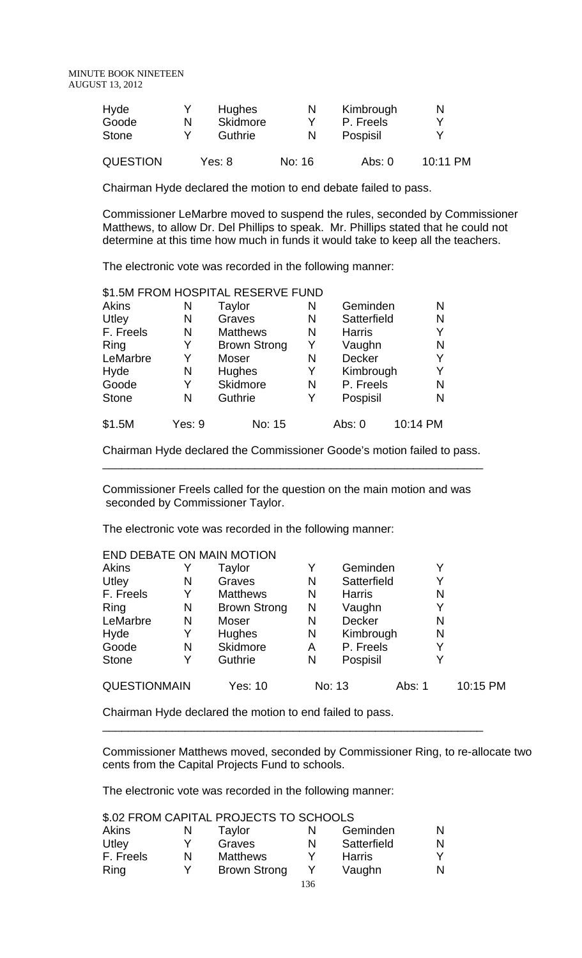| Hyde     |   | <b>Hughes</b>   | N      | Kimbrough | N        |
|----------|---|-----------------|--------|-----------|----------|
| Goode    | N | <b>Skidmore</b> |        | P. Freels | v        |
| Stone    |   | Guthrie         |        | Pospisil  | v        |
| QUESTION |   | Yes: 8          | No: 16 | Abs: $0$  | 10:11 PM |

Chairman Hyde declared the motion to end debate failed to pass.

Commissioner LeMarbre moved to suspend the rules, seconded by Commissioner Matthews, to allow Dr. Del Phillips to speak. Mr. Phillips stated that he could not determine at this time how much in funds it would take to keep all the teachers.

The electronic vote was recorded in the following manner:

|              |        | \$1.5M FROM HOSPITAL RESERVE FUND |   |               |          |
|--------------|--------|-----------------------------------|---|---------------|----------|
| Akins        | N      | Taylor                            | N | Geminden      | N        |
| Utley        | N      | Graves                            | N | Satterfield   | N        |
| F. Freels    | N      | <b>Matthews</b>                   | N | <b>Harris</b> | Y        |
| Ring         | Y      | <b>Brown Strong</b>               | Y | Vaughn        | N        |
| LeMarbre     | Y      | Moser                             | N | Decker        | Υ        |
| Hyde         | N      | Hughes                            | Y | Kimbrough     | Y        |
| Goode        | Y      | Skidmore                          | N | P. Freels     | N        |
| <b>Stone</b> | N      | Guthrie                           | Y | Pospisil      | N        |
| \$1.5M       | Yes: 9 | No: 15                            |   | Abs: 0        | 10:14 PM |

Chairman Hyde declared the Commissioner Goode's motion failed to pass. \_\_\_\_\_\_\_\_\_\_\_\_\_\_\_\_\_\_\_\_\_\_\_\_\_\_\_\_\_\_\_\_\_\_\_\_\_\_\_\_\_\_\_\_\_\_\_\_\_\_\_\_\_\_\_\_\_\_\_\_

Commissioner Freels called for the question on the main motion and was seconded by Commissioner Taylor.

The electronic vote was recorded in the following manner:

| END DEBATE ON MAIN MOTION |   |                     |   |               |        |   |          |  |
|---------------------------|---|---------------------|---|---------------|--------|---|----------|--|
| <b>Akins</b>              |   | Taylor              | Y | Geminden      |        | Y |          |  |
| Utley                     | N | Graves              | N | Satterfield   |        | Y |          |  |
| F. Freels                 | Y | <b>Matthews</b>     | N | <b>Harris</b> |        | N |          |  |
| Ring                      | N | <b>Brown Strong</b> | N | Vaughn        |        | Y |          |  |
| LeMarbre                  | N | Moser               | N | <b>Decker</b> |        | N |          |  |
| Hyde                      | Y | Hughes              | N | Kimbrough     |        | N |          |  |
| Goode                     | N | Skidmore            | A | P. Freels     |        | Y |          |  |
| <b>Stone</b>              | Y | Guthrie             | N | Pospisil      |        | Y |          |  |
| <b>QUESTIONMAIN</b>       |   | Yes: 10             |   | No: 13        | Abs: 1 |   | 10:15 PM |  |

\_\_\_\_\_\_\_\_\_\_\_\_\_\_\_\_\_\_\_\_\_\_\_\_\_\_\_\_\_\_\_\_\_\_\_\_\_\_\_\_\_\_\_\_\_\_\_\_\_\_\_\_\_\_\_\_\_\_\_\_

Chairman Hyde declared the motion to end failed to pass.

Commissioner Matthews moved, seconded by Commissioner Ring, to re-allocate two cents from the Capital Projects Fund to schools.

The electronic vote was recorded in the following manner:

\$.02 FROM CAPITAL PROJECTS TO SCHOOLS

| Akins     | N | Taylor              | N | Geminden      | N |
|-----------|---|---------------------|---|---------------|---|
| Utley     |   | Graves              | N | Satterfield   | N |
| F. Freels | N | <b>Matthews</b>     |   | <b>Harris</b> |   |
| Ring      | v | <b>Brown Strong</b> |   | Vaughn        | N |
|           |   |                     |   |               |   |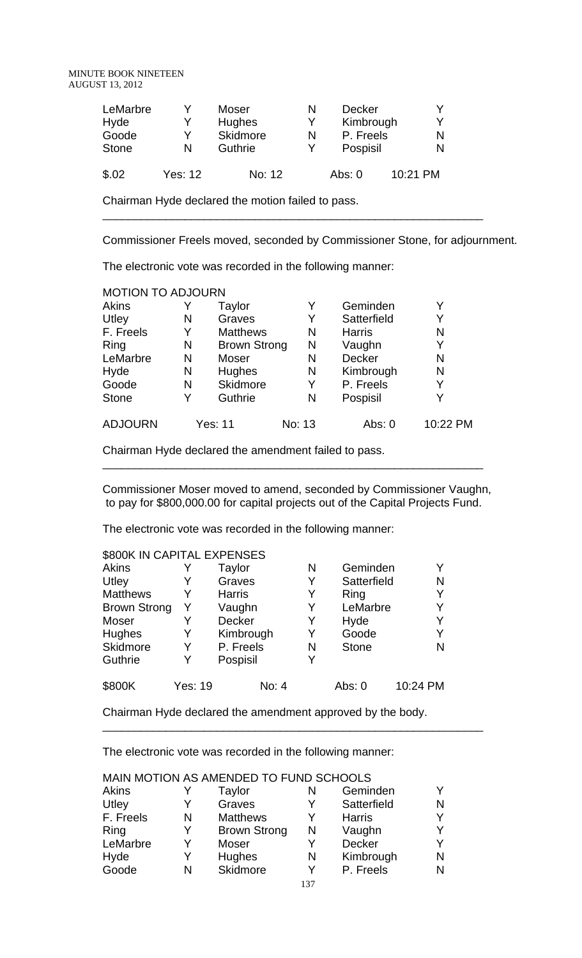| LeMarbre<br>Hyde | v<br>Y         | Moser<br><b>Hughes</b> | N<br>Y | Decker<br>Kimbrough | v<br>v   |
|------------------|----------------|------------------------|--------|---------------------|----------|
| Goode            | v              | Skidmore               | N      | P. Freels           | N        |
| <b>Stone</b>     | N              | Guthrie                |        | Pospisil            | N        |
| \$.02            | <b>Yes: 12</b> | No: 12                 |        | Abs: $0$            | 10:21 PM |

Chairman Hyde declared the motion failed to pass.

Commissioner Freels moved, seconded by Commissioner Stone, for adjournment.

\_\_\_\_\_\_\_\_\_\_\_\_\_\_\_\_\_\_\_\_\_\_\_\_\_\_\_\_\_\_\_\_\_\_\_\_\_\_\_\_\_\_\_\_\_\_\_\_\_\_\_\_\_\_\_\_\_\_\_\_

The electronic vote was recorded in the following manner:

| <b>MOTION TO ADJOURN</b> |   |                     |        |               |          |
|--------------------------|---|---------------------|--------|---------------|----------|
| Akins                    |   | Taylor              | Y      | Geminden      | Y        |
| Utley                    | N | Graves              | Y      | Satterfield   | Y        |
| F. Freels                | Y | <b>Matthews</b>     | N      | <b>Harris</b> | N        |
| Ring                     | N | <b>Brown Strong</b> | Ν      | Vaughn        | Y        |
| LeMarbre                 | N | Moser               | N      | Decker        | N        |
| Hyde                     | N | Hughes              | N      | Kimbrough     | N        |
| Goode                    | N | <b>Skidmore</b>     | Y      | P. Freels     | Y        |
| <b>Stone</b>             | Y | Guthrie             | N      | Pospisil      | Y        |
| <b>ADJOURN</b>           |   | Yes: 11             | No: 13 | Abs: 0        | 10:22 PM |

Chairman Hyde declared the amendment failed to pass.

Commissioner Moser moved to amend, seconded by Commissioner Vaughn, to pay for \$800,000.00 for capital projects out of the Capital Projects Fund.

\_\_\_\_\_\_\_\_\_\_\_\_\_\_\_\_\_\_\_\_\_\_\_\_\_\_\_\_\_\_\_\_\_\_\_\_\_\_\_\_\_\_\_\_\_\_\_\_\_\_\_\_\_\_\_\_\_\_\_\_

The electronic vote was recorded in the following manner:

| \$800K IN CAPITAL EXPENSES |                |               |   |              |          |  |  |  |
|----------------------------|----------------|---------------|---|--------------|----------|--|--|--|
| <b>Akins</b>               |                | Taylor        | N | Geminden     | Y        |  |  |  |
| Utley                      | Y              | Graves        | Y | Satterfield  | N        |  |  |  |
| <b>Matthews</b>            | Y              | <b>Harris</b> | Y | Ring         | Y        |  |  |  |
| <b>Brown Strong</b>        | Y              | Vaughn        | Y | LeMarbre     | Y        |  |  |  |
| Moser                      | Y              | Decker        | Y | Hyde         | Y        |  |  |  |
| Hughes                     | Y              | Kimbrough     | Y | Goode        | Y        |  |  |  |
| Skidmore                   | Y              | P. Freels     | N | <b>Stone</b> | N        |  |  |  |
| Guthrie                    | Y              | Pospisil      | Y |              |          |  |  |  |
| \$800K                     | <b>Yes: 19</b> | No: 4         |   | Abs: 0       | 10:24 PM |  |  |  |

Chairman Hyde declared the amendment approved by the body.

\_\_\_\_\_\_\_\_\_\_\_\_\_\_\_\_\_\_\_\_\_\_\_\_\_\_\_\_\_\_\_\_\_\_\_\_\_\_\_\_\_\_\_\_\_\_\_\_\_\_\_\_\_\_\_\_\_\_\_\_

|           |   | MAIN MOTION AS AMENDED TO FUND SCHOOLS |     |               |   |
|-----------|---|----------------------------------------|-----|---------------|---|
| Akins     |   | Taylor                                 | N   | Geminden      |   |
| Utley     |   | Graves                                 | Y   | Satterfield   | N |
| F. Freels | N | <b>Matthews</b>                        | Y   | <b>Harris</b> |   |
| Ring      | Y | <b>Brown Strong</b>                    | N   | Vaughn        |   |
| LeMarbre  | Y | Moser                                  | Y   | Decker        |   |
| Hyde      | Y | <b>Hughes</b>                          | N   | Kimbrough     | N |
| Goode     | N | Skidmore                               | Y   | P. Freels     | N |
|           |   |                                        | 137 |               |   |